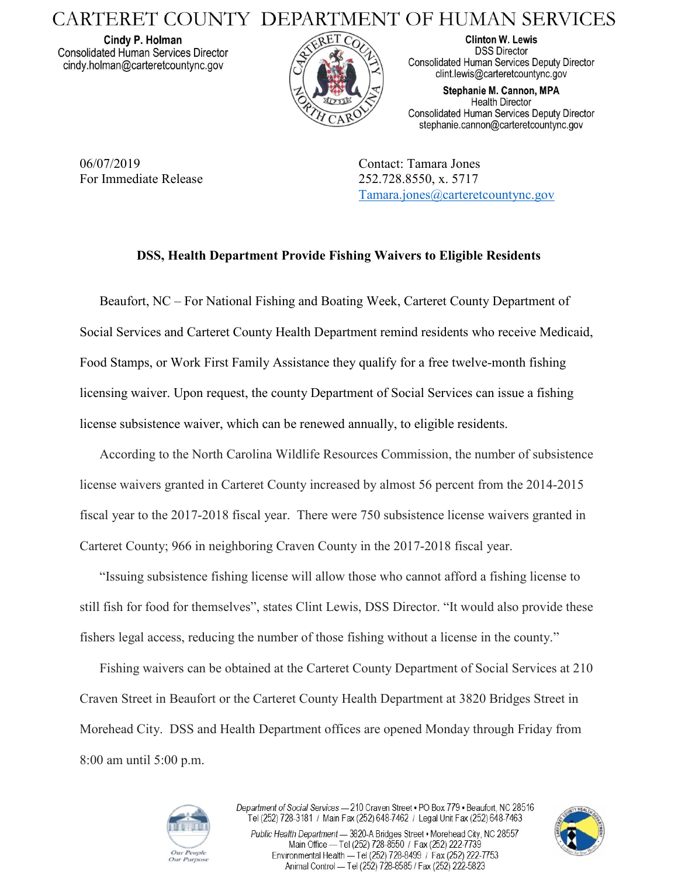## CARTERET COUNTY DEPARTMENT OF HUMAN SERVICES

Cindy P. Holman **Consolidated Human Services Director** cindy.holman@carteretcountync.gov



**Clinton W. Lewis DSS Director Consolidated Human Services Deputy Director** clint.lewis@carteretcountync.gov

Stephanie M. Cannon, MPA **Health Director** Consolidated Human Services Deputy Director stephanie.cannon@carteretcountync.gov

06/07/2019 Contact: Tamara Jones For Immediate Release 252.728.8550, x. 5717

[Tamara.jones@carteretcountync.gov](mailto:Tamara.jones@carteretcountync.gov)

## **DSS, Health Department Provide Fishing Waivers to Eligible Residents**

Beaufort, NC – For National Fishing and Boating Week, Carteret County Department of Social Services and Carteret County Health Department remind residents who receive Medicaid, Food Stamps, or Work First Family Assistance they qualify for a free twelve-month fishing licensing waiver. Upon request, the county Department of Social Services can issue a fishing license subsistence waiver, which can be renewed annually, to eligible residents.

According to the North Carolina Wildlife Resources Commission, the number of subsistence license waivers granted in Carteret County increased by almost 56 percent from the 2014-2015 fiscal year to the 2017-2018 fiscal year. There were 750 subsistence license waivers granted in Carteret County; 966 in neighboring Craven County in the 2017-2018 fiscal year.

"Issuing subsistence fishing license will allow those who cannot afford a fishing license to still fish for food for themselves", states Clint Lewis, DSS Director. "It would also provide these fishers legal access, reducing the number of those fishing without a license in the county."

Fishing waivers can be obtained at the Carteret County Department of Social Services at 210 Craven Street in Beaufort or the Carteret County Health Department at 3820 Bridges Street in Morehead City. DSS and Health Department offices are opened Monday through Friday from 8:00 am until 5:00 p.m.



Department of Social Services - 210 Craven Street . PO Box 779 . Beaufort, NC 28516 Tel (252) 728-3181 / Main Fax (252) 648-7462 / Legal Unit Fax (252) 648-7463